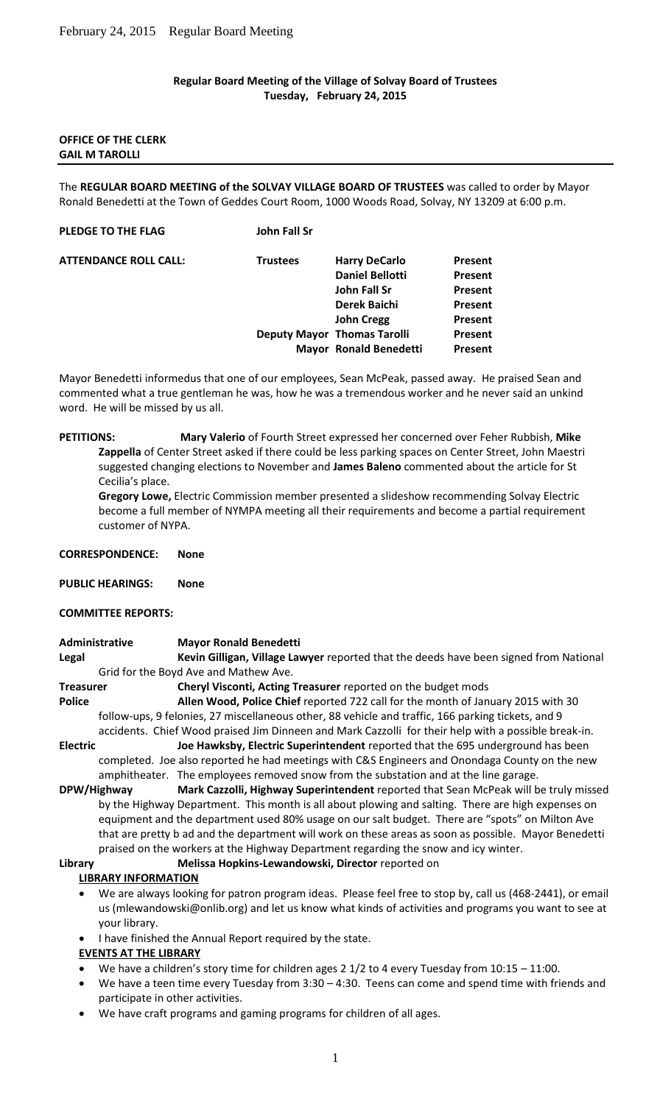## **Regular Board Meeting of the Village of Solvay Board of Trustees Tuesday, February 24, 2015**

## **OFFICE OF THE CLERK GAIL M TAROLLI**

The **REGULAR BOARD MEETING of the SOLVAY VILLAGE BOARD OF TRUSTEES** was called to order by Mayor Ronald Benedetti at the Town of Geddes Court Room, 1000 Woods Road, Solvay, NY 13209 at 6:00 p.m.

## **PLEDGE TO THE FLAG John Fall Sr**

| <b>ATTENDANCE ROLL CALL:</b> | <b>Trustees</b> | <b>Harry DeCarlo</b>               | Present |
|------------------------------|-----------------|------------------------------------|---------|
|                              |                 | <b>Daniel Bellotti</b>             | Present |
|                              |                 | John Fall Sr                       | Present |
|                              |                 | <b>Derek Baichi</b>                | Present |
|                              |                 | <b>John Cregg</b>                  | Present |
|                              |                 | <b>Deputy Mayor Thomas Tarolli</b> | Present |
|                              |                 | <b>Mayor Ronald Benedetti</b>      | Present |
|                              |                 |                                    |         |

Mayor Benedetti informedus that one of our employees, Sean McPeak, passed away. He praised Sean and commented what a true gentleman he was, how he was a tremendous worker and he never said an unkind word. He will be missed by us all.

# **PETITIONS: Mary Valerio** of Fourth Street expressed her concerned over Feher Rubbish, **Mike Zappella** of Center Street asked if there could be less parking spaces on Center Street, John Maestri suggested changing elections to November and **James Baleno** commented about the article for St Cecilia's place.

**Gregory Lowe,** Electric Commission member presented a slideshow recommending Solvay Electric become a full member of NYMPA meeting all their requirements and become a partial requirement customer of NYPA.

| <b>CORRESPONDENCE:</b> |  | None |
|------------------------|--|------|
|                        |  |      |

**PUBLIC HEARINGS: None**

### **COMMITTEE REPORTS:**

# **Administrative Mayor Ronald Benedetti**

**Legal Kevin Gilligan, Village Lawyer** reported that the deeds have been signed from National Grid for the Boyd Ave and Mathew Ave.

- **Treasurer Cheryl Visconti, Acting Treasurer** reported on the budget mods **Police Allen Wood, Police Chief** reported 722 call for the month of January 2015 with 30 follow-ups, 9 felonies, 27 miscellaneous other, 88 vehicle and traffic, 166 parking tickets, and 9 accidents. Chief Wood praised Jim Dinneen and Mark Cazzolli for their help with a possible break-in.
- **Electric Joe Hawksby, Electric Superintendent** reported that the 695 underground has been completed. Joe also reported he had meetings with C&S Engineers and Onondaga County on the new amphitheater. The employees removed snow from the substation and at the line garage.

**DPW/Highway Mark Cazzolli, Highway Superintendent** reported that Sean McPeak will be truly missed by the Highway Department. This month is all about plowing and salting. There are high expenses on equipment and the department used 80% usage on our salt budget. There are "spots" on Milton Ave that are pretty b ad and the department will work on these areas as soon as possible. Mayor Benedetti praised on the workers at the Highway Department regarding the snow and icy winter.

**Library Melissa Hopkins-Lewandowski, Director** reported on

### **LIBRARY INFORMATION**

- We are always looking for patron program ideas. Please feel free to stop by, call us (468-2441), or email us (mlewandowski@onlib.org) and let us know what kinds of activities and programs you want to see at your library.
- I have finished the Annual Report required by the state.

### **EVENTS AT THE LIBRARY**

- We have a children's story time for children ages 2 1/2 to 4 every Tuesday from 10:15 11:00.
- We have a teen time every Tuesday from 3:30 4:30. Teens can come and spend time with friends and participate in other activities.
- We have craft programs and gaming programs for children of all ages.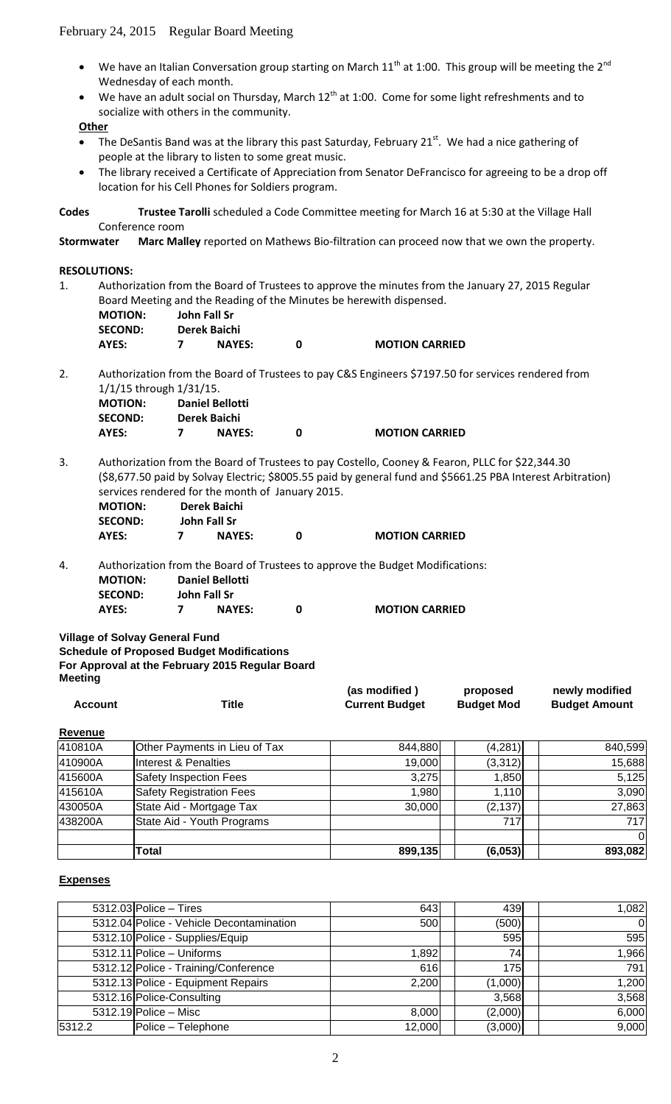- We have an Italian Conversation group starting on March  $11^{th}$  at 1:00. This group will be meeting the  $2^{nd}$ Wednesday of each month.
- We have an adult social on Thursday, March  $12^{th}$  at 1:00. Come for some light refreshments and to socialize with others in the community.

## **Other**

- The DeSantis Band was at the library this past Saturday, February 21<sup>st</sup>. We had a nice gathering of people at the library to listen to some great music.
- The library received a Certificate of Appreciation from Senator DeFrancisco for agreeing to be a drop off location for his Cell Phones for Soldiers program.

**Codes Trustee Tarolli** scheduled a Code Committee meeting for March 16 at 5:30 at the Village Hall Conference room

**Stormwater Marc Malley** reported on Mathews Bio-filtration can proceed now that we own the property.

## **RESOLUTIONS:**

1. Authorization from the Board of Trustees to approve the minutes from the January 27, 2015 Regular Board Meeting and the Reading of the Minutes be herewith dispensed.

| <b>MOTION:</b> | John Fall Sr  |                       |
|----------------|---------------|-----------------------|
| <b>SECOND:</b> | Derek Baichi  |                       |
| AYES:          | <b>NAYES:</b> | <b>MOTION CARRIED</b> |

2. Authorization from the Board of Trustees to pay C&S Engineers \$7197.50 for services rendered from 1/1/15 through 1/31/15.

| <b>MOTION:</b> | <b>Daniel Bellotti</b> |                       |
|----------------|------------------------|-----------------------|
| SECOND:        | Derek Baichi           |                       |
| AYES:          | <b>NAYES:</b>          | <b>MOTION CARRIED</b> |

3. Authorization from the Board of Trustees to pay Costello, Cooney & Fearon, PLLC for \$22,344.30 (\$8,677.50 paid by Solvay Electric; \$8005.55 paid by general fund and \$5661.25 PBA Interest Arbitration) services rendered for the month of January 2015.

| <b>MOTION:</b> | Derek Baichi  |                       |
|----------------|---------------|-----------------------|
| <b>SECOND:</b> | John Fall Sr  |                       |
| AYES:          | <b>NAYES:</b> | <b>MOTION CARRIED</b> |

4. Authorization from the Board of Trustees to approve the Budget Modifications: **MOTION: Daniel Bellotti SECOND: John Fall Sr AYES: 7 NAYES: 0 MOTION CARRIED**

**Village of Solvay General Fund**

**Schedule of Proposed Budget Modifications For Approval at the February 2015 Regular Board** 

**Meeting**

|         |       | (as modified)         | proposed          | newly modified       |
|---------|-------|-----------------------|-------------------|----------------------|
| Account | ™itle | <b>Current Budget</b> | <b>Budget Mod</b> | <b>Budget Amount</b> |

## **Revenue**

| 410810A | Other Payments in Lieu of Tax   | 844,880 | (4, 281) | 840,599      |
|---------|---------------------------------|---------|----------|--------------|
| 410900A | Interest & Penalties            | 19,000  | (3,312)  | 15,688       |
| 415600A | Safety Inspection Fees          | 3,275   | 1,850    | 5,125        |
| 415610A | <b>Safety Registration Fees</b> | 1,980   | 1,110    | 3,090        |
| 430050A | State Aid - Mortgage Tax        | 30,000  | (2, 137) | 27,863       |
| 438200A | State Aid - Youth Programs      |         | 717      | 717          |
|         |                                 |         |          | <sup>0</sup> |
|         | Total                           | 899,135 | (6,053)  | 893,082      |

# **Expenses**

|        | $5312.03$ Police - Tires                 | 643    | 439     | 1,082    |
|--------|------------------------------------------|--------|---------|----------|
|        | 5312.04 Police - Vehicle Decontamination | 500    | (500)   | $\Omega$ |
|        | 5312.10 Police - Supplies/Equip          |        | 595     | 595      |
|        | $\overline{5312.11}$ Police - Uniforms   | 1,892  | 74      | 1,966    |
|        | 5312.12 Police - Training/Conference     | 616    | 175     | 791      |
|        | 5312.13 Police - Equipment Repairs       | 2,200  | (1,000) | 1,200    |
|        | 5312.16 Police-Consulting                |        | 3,568   | 3,568    |
|        | $5312.19$ Police – Misc                  | 8,000  | (2,000) | 6,000    |
| 5312.2 | Police - Telephone                       | 12,000 | (3,000) | 9,000    |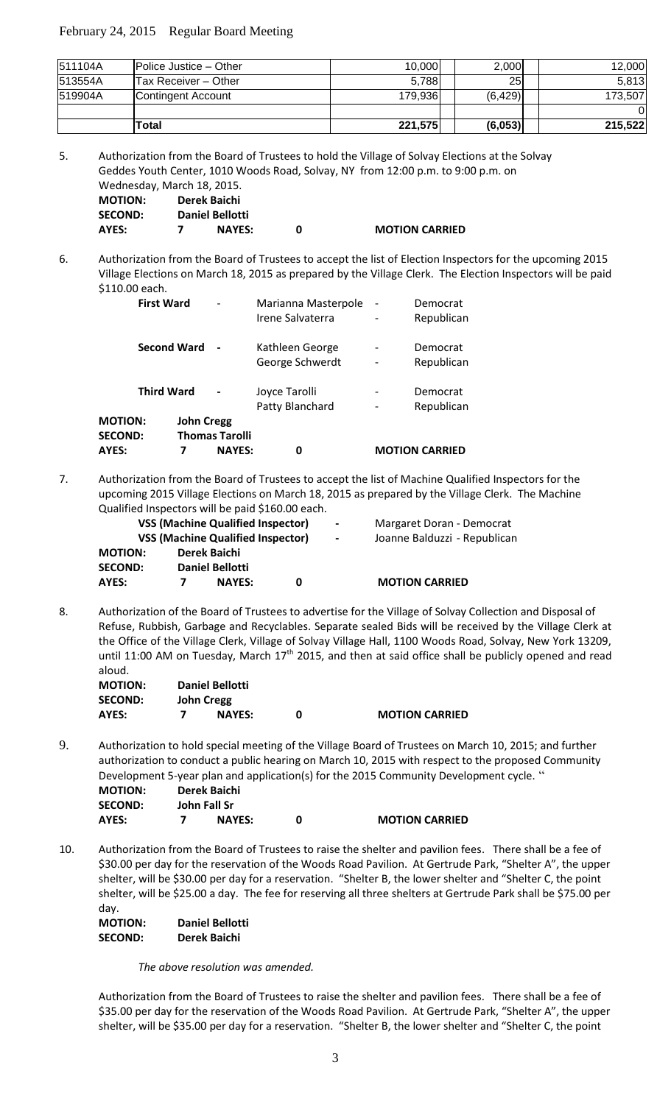|         | Total                         | 221,575 | (6,053)         | 215,522 |
|---------|-------------------------------|---------|-----------------|---------|
|         |                               |         |                 |         |
| 519904A | Contingent Account            | 179.936 | (6, 429)        | 173.507 |
| 513554A | Tax Receiver - Other          | 5,788   | 25 <sub>l</sub> | 5,813   |
| 511104A | <b>Police Justice – Other</b> | 10,000  | 2,000           | 12.000  |

5. Authorization from the Board of Trustees to hold the Village of Solvay Elections at the Solvay Geddes Youth Center, 1010 Woods Road, Solvay, NY from 12:00 p.m. to 9:00 p.m. on Wednesday, March 18, 2015.<br>MOTION: Parak Bajabi **MOTION: Derek Baichi**

| <b>IVIUTIUN.</b> | DETER DAILIT           |                       |
|------------------|------------------------|-----------------------|
| <b>SECOND:</b>   | <b>Daniel Bellotti</b> |                       |
| AYES:            | <b>NAYES:</b>          | <b>MOTION CARRIED</b> |

6. Authorization from the Board of Trustees to accept the list of Election Inspectors for the upcoming 2015 Village Elections on March 18, 2015 as prepared by the Village Clerk. The Election Inspectors will be paid \$110.00 each.

| <b>SECOND:</b><br>AYES: |                    | 7                 | <b>Thomas Tarolli</b><br><b>NAYES:</b> | 0                                       |                                                      | <b>MOTION CARRIED</b>  |
|-------------------------|--------------------|-------------------|----------------------------------------|-----------------------------------------|------------------------------------------------------|------------------------|
| <b>MOTION:</b>          |                    | <b>John Cregg</b> |                                        |                                         |                                                      |                        |
|                         | <b>Third Ward</b>  |                   |                                        | Joyce Tarolli<br>Patty Blanchard        | $\overline{\phantom{0}}$                             | Democrat<br>Republican |
|                         | <b>Second Ward</b> |                   |                                        | Kathleen George<br>George Schwerdt      | $\overline{\phantom{0}}$                             | Democrat<br>Republican |
|                         | <b>First Ward</b>  |                   | $\qquad \qquad$                        | Marianna Masterpole<br>Irene Salvaterra | $\overline{\phantom{0}}$<br>$\overline{\phantom{0}}$ | Democrat<br>Republican |

7. Authorization from the Board of Trustees to accept the list of Machine Qualified Inspectors for the upcoming 2015 Village Elections on March 18, 2015 as prepared by the Village Clerk. The Machine Qualified Inspectors will be paid \$160.00 each.

| <b>VSS (Machine Qualified Inspector)</b><br><b>VSS (Machine Qualified Inspector)</b> |  |                        | $\sim$<br>$\sim$ | Margaret Doran - Democrat<br>Joanne Balduzzi - Republican |                       |
|--------------------------------------------------------------------------------------|--|------------------------|------------------|-----------------------------------------------------------|-----------------------|
| <b>MOTION:</b>                                                                       |  | Derek Baichi           |                  |                                                           |                       |
| <b>SECOND:</b>                                                                       |  | <b>Daniel Bellotti</b> |                  |                                                           |                       |
| AYES:                                                                                |  | <b>NAYES:</b>          | 0                |                                                           | <b>MOTION CARRIED</b> |

8. Authorization of the Board of Trustees to advertise for the Village of Solvay Collection and Disposal of Refuse, Rubbish, Garbage and Recyclables. Separate sealed Bids will be received by the Village Clerk at the Office of the Village Clerk, Village of Solvay Village Hall, 1100 Woods Road, Solvay, New York 13209, until 11:00 AM on Tuesday, March  $17<sup>th</sup>$  2015, and then at said office shall be publicly opened and read aloud.

| <b>MOTION:</b> | <b>Daniel Bellotti</b> |                       |
|----------------|------------------------|-----------------------|
| <b>SECOND:</b> | John Cregg             |                       |
| AYES:          | <b>NAYES:</b>          | <b>MOTION CARRIED</b> |

9. Authorization to hold special meeting of the Village Board of Trustees on March 10, 2015; and further authorization to conduct a public hearing on March 10, 2015 with respect to the proposed Community Development 5-year plan and application(s) for the 2015 Community Development cycle. "

| <b>MOTION:</b> | Derek Baichi |               |  |                       |  |
|----------------|--------------|---------------|--|-----------------------|--|
| <b>SECOND:</b> | John Fall Sr |               |  |                       |  |
| AYES:          |              | <b>NAYES:</b> |  | <b>MOTION CARRIED</b> |  |

10. Authorization from the Board of Trustees to raise the shelter and pavilion fees. There shall be a fee of \$30.00 per day for the reservation of the Woods Road Pavilion. At Gertrude Park, "Shelter A", the upper shelter, will be \$30.00 per day for a reservation. "Shelter B, the lower shelter and "Shelter C, the point shelter, will be \$25.00 a day. The fee for reserving all three shelters at Gertrude Park shall be \$75.00 per day.

| <b>MOTION:</b> | <b>Daniel Bellotti</b> |
|----------------|------------------------|
| <b>SECOND:</b> | Derek Baichi           |

*The above resolution was amended.*

Authorization from the Board of Trustees to raise the shelter and pavilion fees. There shall be a fee of \$35.00 per day for the reservation of the Woods Road Pavilion. At Gertrude Park, "Shelter A", the upper shelter, will be \$35.00 per day for a reservation. "Shelter B, the lower shelter and "Shelter C, the point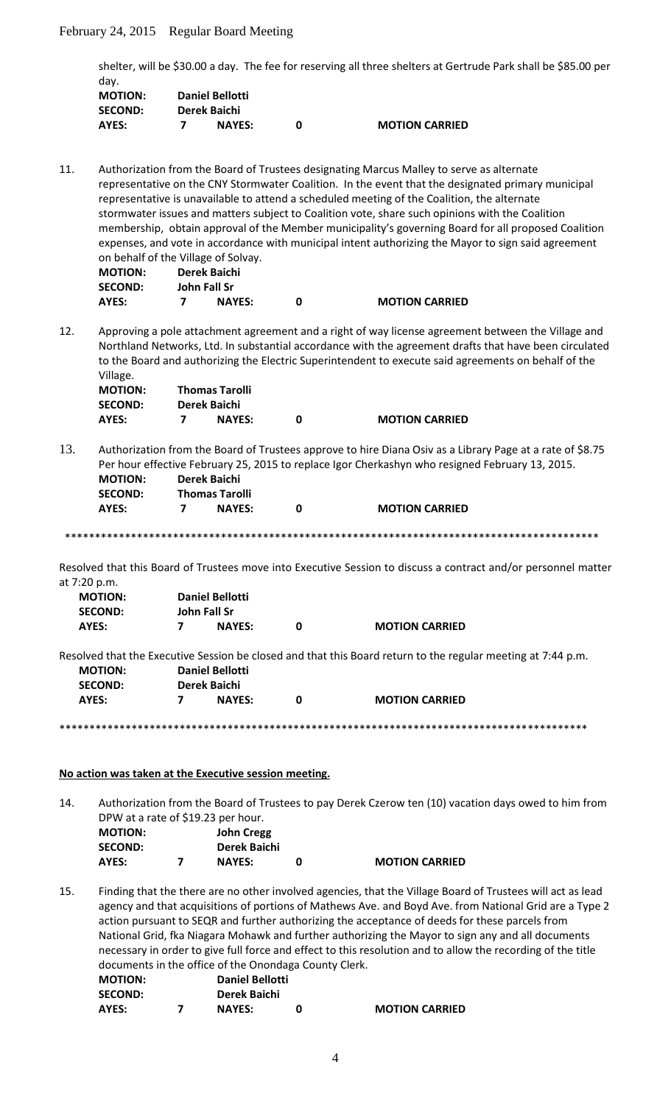shelter, will be \$30.00 a day. The fee for reserving all three shelters at Gertrude Park shall be \$85.00 per day.

| <b>MOTION:</b> | <b>Daniel Bellotti</b> |               |  |                       |  |
|----------------|------------------------|---------------|--|-----------------------|--|
| <b>SECOND:</b> |                        | Derek Baichi  |  |                       |  |
| AYES:          |                        | <b>NAYES:</b> |  | <b>MOTION CARRIED</b> |  |

11. Authorization from the Board of Trustees designating Marcus Malley to serve as alternate representative on the CNY Stormwater Coalition. In the event that the designated primary municipal representative is unavailable to attend a scheduled meeting of the Coalition, the alternate stormwater issues and matters subject to Coalition vote, share such opinions with the Coalition membership, obtain approval of the Member municipality's governing Board for all proposed Coalition expenses, and vote in accordance with municipal intent authorizing the Mayor to sign said agreement on behalf of the Village of Solvay.

| <b>MOTION:</b> | Derek Baichi  |  |                       |
|----------------|---------------|--|-----------------------|
| <b>SECOND:</b> | John Fall Sr  |  |                       |
| AYES:          | <b>NAYES:</b> |  | <b>MOTION CARRIED</b> |

12. Approving a pole attachment agreement and a right of way license agreement between the Village and Northland Networks, Ltd. In substantial accordance with the agreement drafts that have been circulated to the Board and authorizing the Electric Superintendent to execute said agreements on behalf of the Village.

| <b>MOTION:</b> | <b>Thomas Tarolli</b> |                       |
|----------------|-----------------------|-----------------------|
| <b>SECOND:</b> | Derek Baichi          |                       |
| AYES:          | <b>NAYES:</b>         | <b>MOTION CARRIED</b> |

13. Authorization from the Board of Trustees approve to hire Diana Osiv as a Library Page at a rate of \$8.75 Per hour effective February 25, 2015 to replace Igor Cherkashyn who resigned February 13, 2015. **MOTION: Derek Baichi**

| <b>Thomas Tarolli</b><br><b>SECOND:</b> |   |
|-----------------------------------------|---|
| AYES:<br><b>NAYES:</b>                  | n |

\*\*\*\*\*\*\*\*\*\*\*\*\*\*\*\*\*\*\*\*\*\*\*\*\*\*\*\*\*\*\*\*\*\*\*\*\*\*\*\*\*\*\*\*\*\*\*\*\*\*\*\*\*\*\*\*\*\*\*\*\*\*\*\*\*\*\*\*\*\*\*\*\*\*\*\*\*\*\*\*\*\*\*\*\*\*\*\*\*

**AYES: 7 NAYES: 0 MOTION CARRIED**

Resolved that this Board of Trustees move into Executive Session to discuss a contract and/or personnel matter at 7:20 p.m.

| <b>MOTION:</b> |              | <b>Daniel Bellotti</b> |   |                                                                                                              |  |  |
|----------------|--------------|------------------------|---|--------------------------------------------------------------------------------------------------------------|--|--|
| <b>SECOND:</b> | John Fall Sr |                        |   |                                                                                                              |  |  |
| AYES:          |              | <b>NAYES:</b>          | 0 | <b>MOTION CARRIED</b>                                                                                        |  |  |
|                |              |                        |   |                                                                                                              |  |  |
|                |              |                        |   | Resolved that the Executive Session be closed and that this Board return to the regular meeting at 7:44 p.m. |  |  |
| <b>MOTION:</b> |              | <b>Daniel Bellotti</b> |   |                                                                                                              |  |  |
| <b>SECOND:</b> |              | Derek Baichi           |   |                                                                                                              |  |  |
| AYES:          |              | <b>NAYES:</b>          | 0 | <b>MOTION CARRIED</b>                                                                                        |  |  |
|                |              |                        |   |                                                                                                              |  |  |

\*\*\*\*\*\*\*\*\*\*\*\*\*\*\*\*\*\*\*\*\*\*\*\*\*\*\*\*\*\*\*\*\*\*\*\*\*\*\*\*\*\*\*\*\*\*\*\*\*\*\*\*\*\*\*\*\*\*\*\*\*\*\*\*\*\*\*\*\*\*\*\*\*\*\*\*\*\*\*\*\*\*\*\*\*\*\*\*

### **No action was taken at the Executive session meeting.**

14. Authorization from the Board of Trustees to pay Derek Czerow ten (10) vacation days owed to him from DPW at a rate of \$19.23 per hour. **MOTION: John Cregg**

| <b>SECOND:</b> | Derek Baichi  |                       |
|----------------|---------------|-----------------------|
| AYES:          | <b>NAYES:</b> | <b>MOTION CARRIED</b> |

15. Finding that the there are no other involved agencies, that the Village Board of Trustees will act as lead agency and that acquisitions of portions of Mathews Ave. and Boyd Ave. from National Grid are a Type 2 action pursuant to SEQR and further authorizing the acceptance of deeds for these parcels from National Grid, fka Niagara Mohawk and further authorizing the Mayor to sign any and all documents necessary in order to give full force and effect to this resolution and to allow the recording of the title documents in the office of the Onondaga County Clerk.<br> **MOTION:** Daniel Bellotti **MOTION: Daniel Bellotti**

| .              | _ _ _ _ _ _ _ _ _ _ _ _ _ |                       |
|----------------|---------------------------|-----------------------|
| <b>SECOND:</b> | Derek Baichi              |                       |
| AYES:          | <b>NAYES:</b>             | <b>MOTION CARRIED</b> |